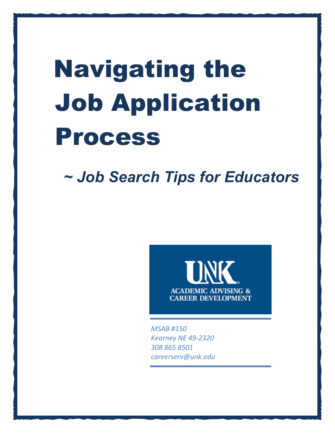# Navigating the Job Application Process

*~ Job Search Tips for Educators*



*MSAB #150 Kearney NE 49-2320 308 865 8501 careerserv@unk.edu*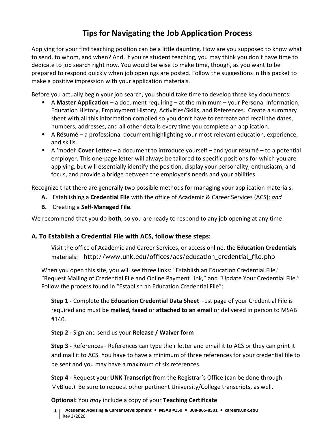## **Tips for Navigating the Job Application Process**

Applying for your first teaching position can be a little daunting. How are you supposed to know what to send, to whom, and when? And, if you're student teaching, you may think you don't have time to dedicate to job search right now. You would be wise to make time, though, as you want to be prepared to respond quickly when job openings are posted. Follow the suggestions in this packet to make a positive impression with your application materials.

Before you actually begin your job search, you should take time to develop three key documents:

- A **Master Application** a document requiring at the minimum your Personal Information, Education History, Employment History, Activities/Skills, and References. Create a summary sheet with all this information compiled so you don't have to recreate and recall the dates, numbers, addresses, and all other details every time you complete an application.
- A **Résumé** a professional document highlighting your most relevant education, experience, and skills.
- A 'model' **Cover Letter** a document to introduce yourself and your résumé to a potential employer. This one-page letter will always be tailored to specific positions for which you are applying, but will essentially identify the position, display your personality, enthusiasm, and focus, and provide a bridge between the employer's needs and your abilities.

Recognize that there are generally two possible methods for managing your application materials:

- **A.** Establishing a **Credential File** with the office of Academic & Career Services (ACS); *and*
- **B.** Creating a **Self-Managed File**.

We recommend that you do **both**, so you are ready to respond to any job opening at any time!

#### **A. To Establish a Credential File with ACS, follow these steps:**

Visit the office of Academic and Career Services, or access online, the **Education Credentials** materials: http://www.unk.edu/offices/acs/education\_credential\_file.php

When you open this site, you will see three links: "Establish an Education Credential File," ["Request Mailing of Credential File and Online Payment Link,](http://www.unk.edu/offices/acs/request-mailing-of-credential-file.php)" and "Update Your Credential File." Follow the process found in "Establish an Education Credential File":

**Step 1 -** Complete the **[Education Credential Data Sheet](http://www.unk.edu/offices/acs/_files/cred_data_form.pdf)** -1st page of your Credential File is required and must be **mailed, faxed** or **attached to an email** or delivered in person to MSAB #140.

#### **Step 2 -** Sign and send us your **Release / [Waiver form](http://www.unk.edu/offices/acs/_files/credential_release_waiver.pdf)**

**Step 3 -** References - References can type their letter and email it to ACS or they can print it and mail it to ACS. You have to have a minimum of three references for your credential file to be sent and you may have a maximum of six references.

**Step 4 -** Request your **[UNK Transcript](http://www.unk.edu/offices/registrar/Transcript_Request_Policies.php)** from the Registrar's Office (can be done through MyBlue.) Be sure to request other pertinent University/College transcripts, as well.

#### **Optional:** You *may* include a copy of your **Teaching Certificate**

**1 Academic Advising & Career Development MSAB #150 308-865-8501 careers.unk.edu**  Rev 3/2020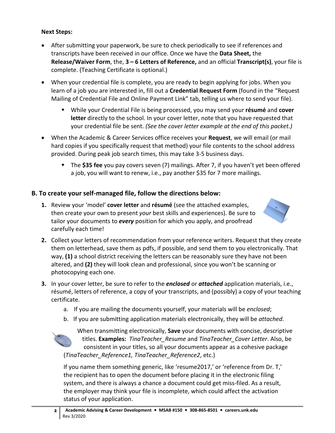#### **Next Steps:**

- After submitting your paperwork, be sure to check periodically to see if references and transcripts have been received in our office. Once we have the **Data Sheet,** the **Release/Waiver Form**, the, **3 – 6 Letters of Reference,** and an official **Transcript(s)**, your file is complete. (Teaching Certificate is optional.)
- When your credential file is complete, you are ready to begin applying for jobs. When you learn of a job you are interested in, fill out a **Credential Request Form** (found in the ["Request](http://www.unk.edu/offices/acs/request-mailing-of-credential-file.php)  [Mailing of Credential File and Online Payment Link"](http://www.unk.edu/offices/acs/request-mailing-of-credential-file.php) tab, telling us where to send your file).
	- While your Credential File is being processed, you may send your **résumé** and **cover letter** directly to the school. In your cover letter, note that you have requested that your credential file be sent. *(See the cover letter example at the end of this packet.)*
- When the Academic & Career Services office receives your **Request**, we will email (or mail hard copies if you specifically request that method) your file contents to the school address provided. During peak job search times, this may take 3-5 business days.
	- The **\$35 fee** you pay covers seven (7) mailings. After 7, if you haven't yet been offered a job, you will want to renew, i.e., pay another \$35 for 7 more mailings.

#### **B. To create your self-managed file, follow the directions below:**

**1.** Review your 'model' **cover letter** and **résumé** (see the attached examples, then create your own to present *your* best skills and experiences). Be sure to tailor your documents to *every* position for which you apply, and proofread carefully each time!



- **2.** Collect your letters of recommendation from your reference writers. Request that they create them on letterhead, save them as pdfs, if possible, and send them to you electronically. That way, **(1)** a school district receiving the letters can be reasonably sure they have not been altered, and **(2)** they will look clean and professional, since you won't be scanning or photocopying each one.
- **3.** In your cover letter, be sure to refer to the *enclosed* or *attached* application materials, i.e., résumé, letters of reference, a copy of your transcripts, and (possibly) a copy of your teaching certificate.
	- a. If you are mailing the documents yourself, your materials will be *enclosed*;
	- b. If you are submitting application materials electronically, they will be *attached*.



When transmitting electronically, **Save** your documents with concise, descriptive titles. **Examples:** *TinaTeacher\_Resume* and *TinaTeacher\_Cover Letter*. Also, be consistent in your titles, so all your documents appear as a cohesive package (*TinaTeacher\_Reference1, TinaTeacher\_Reference2*, etc.)

If you name them something generic, like 'resume2017,' or 'reference from Dr. T,' the recipient has to open the document before placing it in the electronic filing system, and there is always a chance a document could get miss-filed. As a result, the employer may think your file is incomplete, which could affect the activation status of your application.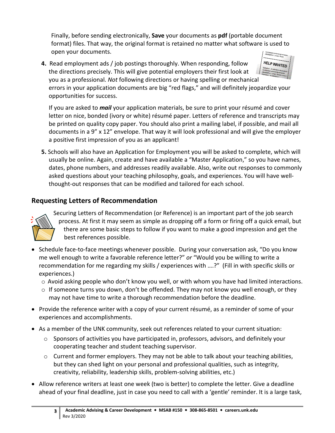Finally, before sending electronically, **Save** your documents as **pdf** (portable document format) files. That way, the original format is retained no matter what software is used to open your documents.

HELP WANTED

**4.** Read employment ads / job postings thoroughly. When responding, follow the directions precisely. This will give potential employers their first look at you as a professional. *Not* following directions or having spelling or mechanical errors in your application documents are big "red flags," and will definitely jeopardize your opportunities for success.

If you are asked to *mail* your application materials, be sure to print your résumé and cover letter on nice, bonded (ivory or white) résumé paper. Letters of reference and transcripts may be printed on quality copy paper. You should also print a mailing label, if possible, and mail all documents in a 9" x 12" envelope. That way it will look professional and will give the employer a positive first impression of you as an applicant!

**5.** Schools will also have an Application for Employment you will be asked to complete, which will usually be online. Again, create and have available a "Master Application," so you have names, dates, phone numbers, and addresses readily available. Also, write out responses to commonly asked questions about your teaching philosophy, goals, and experiences. You will have wellthought-out responses that can be modified and tailored for each school.

## **Requesting Letters of Recommendation**



Securing Letters of Recommendation (or Reference) is an important part of the job search process. At first it may seem as simple as dropping off a form or firing off a quick email, but there are some basic steps to follow if you want to make a good impression and get the best references possible.

- Schedule face-to-face meetings whenever possible. During your conversation ask, "Do you know me well enough to write a favorable reference letter?" *or* "Would you be willing to write a recommendation for me regarding my skills / experiences with ….?" (Fill in with specific skills or experiences.)
	- $\circ$  Avoid asking people who don't know you well, or with whom you have had limited interactions.
	- $\circ$  If someone turns you down, don't be offended. They may not know you well enough, or they may not have time to write a thorough recommendation before the deadline.
- Provide the reference writer with a copy of your current résumé, as a reminder of some of your experiences and accomplishments.
- As a member of the UNK community, seek out references related to your current situation:
	- o Sponsors of activities you have participated in, professors, advisors, and definitely your cooperating teacher and student teaching supervisor.
	- $\circ$  Current and former employers. They may not be able to talk about your teaching abilities, but they can shed light on your personal and professional qualities, such as integrity, creativity, reliability, leadership skills, problem-solving abilities, etc.)
- Allow reference writers at least one week (two is better) to complete the letter. Give a deadline ahead of your final deadline, just in case you need to call with a 'gentle' reminder. It is a large task,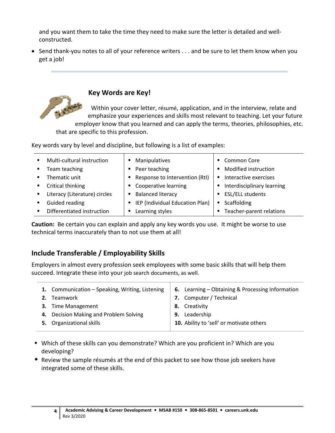and you want them to take the time they need to make sure the letter is detailed and wellconstructed.

• Send thank-you notes to all of your reference writers . . . and be sure to let them know when you get a job!



### **Key Words are Key!**

Within your cover letter, résumé, application, and in the interview, relate and emphasize your experiences and skills most relevant to teaching. Let your future employer know that you learned and can apply the terms, theories, philosophies, etc.

that are specific to this profession.

Key words vary by level and discipline, but following is a list of examples:

| $\blacksquare$ | Multi-cultural instruction    |   | • Manipulatives                   | <b>Common Core</b>         |
|----------------|-------------------------------|---|-----------------------------------|----------------------------|
| $\mathbf{r}$   | Team teaching                 |   | • Peer teaching                   | Modified instruction       |
| $\blacksquare$ | Thematic unit                 |   | ■ Response to Intervention (RtI)  | Interactive exercises      |
| $\blacksquare$ | Critical thinking             |   | • Cooperative learning            | Interdisciplinary learning |
| $\blacksquare$ | Literacy (Literature) circles |   | <b>Balanced literacy</b>          | <b>ESL/ELL students</b>    |
| $\blacksquare$ | Guided reading                |   | ■ IEP (Individual Education Plan) | Scaffolding                |
|                | Differentiated instruction    | ٠ | Learning styles                   | Teacher-parent relations   |

**Caution:** Be certain you can explain and apply any key words you use. It might be worse to use technical terms inaccurately than to not use them at all!

## **Include Transferable / Employability Skills**

Employers in almost every profession seek employees with some basic skills that will help them succeed. Integrate these into your job search documents, as well.

| 1. Communication - Speaking, Writing, Listening<br>2. Teamwork<br>3. Time Management | 6. Learning – Obtaining & Processing Information<br>7. Computer / Technical<br>8. Creativity |
|--------------------------------------------------------------------------------------|----------------------------------------------------------------------------------------------|
| 4. Decision Making and Problem Solving<br>5. Organizational skills                   | 9. Leadership<br>10. Ability to 'sell' or motivate others                                    |

- Which of these skills can you demonstrate? Which are you proficient in? Which are you developing?
- Review the sample résumés at the end of this packet to see how those job seekers have integrated some of these skills.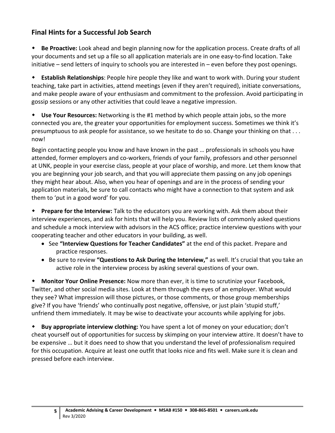## **Final Hints for a Successful Job Search**

 **Be Proactive:** Look ahead and begin planning now for the application process. Create drafts of all your documents and set up a file so all application materials are in one easy-to-find location. Take initiative – send letters of inquiry to schools you are interested in – even before they post openings.

 **Establish Relationships**: People hire people they like and want to work with. During your student teaching, take part in activities, attend meetings (even if they aren't required), initiate conversations, and make people aware of your enthusiasm and commitment to the profession. Avoid participating in gossip sessions or any other activities that could leave a negative impression.

 **Use Your Resources:** Networking is the #1 method by which people attain jobs, so the more connected you are, the greater your opportunities for employment success. Sometimes we think it's presumptuous to ask people for assistance, so we hesitate to do so. Change your thinking on that . . . now!

Begin contacting people you know and have known in the past … professionals in schools you have attended, former employers and co-workers, friends of your family, professors and other personnel at UNK, people in your exercise class, people at your place of worship, and more. Let them know that you are beginning your job search, and that you will appreciate them passing on any job openings they might hear about. Also, when you hear of openings and are in the process of sending your application materials, be sure to call contacts who might have a connection to that system and ask them to 'put in a good word' for you.

 **Prepare for the Interview:** Talk to the educators you are working with. Ask them about their interview experiences, and ask for hints that will help you. Review lists of commonly asked questions and schedule a mock interview with advisors in the ACS office; practice interview questions with your cooperating teacher and other educators in your building, as well.

- See **"Interview Questions for Teacher Candidates"** at the end of this packet. Prepare and practice responses.
- Be sure to review **"Questions to Ask During the Interview,"** as well. It's crucial that you take an active role in the interview process by asking several questions of your own.

 **Monitor Your Online Presence:** Now more than ever, it is time to scrutinize your Facebook, Twitter, and other social media sites. Look at them through the eyes of an employer. What would they see? What impression will those pictures, or those comments, or those group memberships give? If you have 'friends' who continually post negative, offensive, or just plain 'stupid stuff,' unfriend them immediately. It may be wise to deactivate your accounts while applying for jobs.

 **Buy appropriate interview clothing:** You have spent a lot of money on your education; don't cheat yourself out of opportunities for success by skimping on your interview attire. It doesn't have to be expensive … but it does need to show that you understand the level of professionalism required for this occupation. Acquire at least one outfit that looks nice and fits well. Make sure it is clean and pressed before each interview.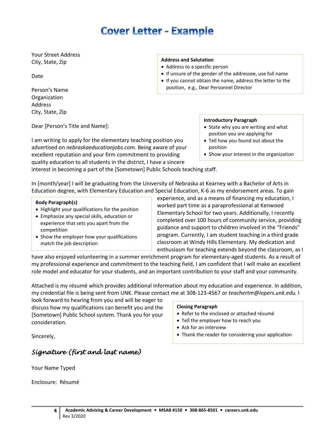# **Cover Letter - Example**

Your Street Address City, State, Zip

Date

Person's Name Organization Address City, State, Zip

Dear [Person's Title and Name]:

I am writing to apply for the elementary teaching position you advertised on *nebraskaeducationjobs.com.* Being aware of your excellent reputation and your firm commitment to providing quality education to all students in the district, I have a sincere

#### **Address and Salutation**

- Address to a specific person
- If unsure of the gender of the addressee, use full name
- If you cannot obtain the name, address the letter to the position, e.g., Dear Personnel Director

#### **Introductory Paragraph**

- State why you are writing and what position you are applying for
- Tell how you found out about the position
- Show your interest in the organization

interest in becoming a part of the [Sometown] Public Schools teaching staff.

In [month/year] I will be graduating from the University of Nebraska at Kearney with a Bachelor of Arts in Education degree, with Elementary Education and Special Education, K-6 as my endorsement areas. To gain

#### **Body Paragraph(s)**

- Highlight your qualifications for the position
- Emphasize any special skills, education or experience that sets you apart from the competition
- Show the employer how your qualifications match the job description

experience, and as a means of financing my education, I worked part time as a paraprofessional at Kenwood Elementary School for two years. Additionally, I recently completed over 100 hours of community service, providing guidance and support to children involved in the "Friends" program. Currently, I am student teaching in a third grade classroom at Windy Hills Elementary. My dedication and enthusiasm for teaching extends beyond the classroom, as I

have also enjoyed volunteering in a summer enrichment program for elementary-aged students. As a result of my professional experience and commitment to the teaching field, I am confident that I will make an excellent role model and educator for your students, and an important contribution to your staff and your community.

Attached is my résumé which provides additional information about my education and experience. In addition, my credential file is being sent from UNK. Please contact me at 308-123-4567 or *teachertm@lopers.unk.edu.* I

look forward to hearing from you and will be eager to discuss how my qualifications can benefit you and the [Sometown] Public School system. Thank you for your consideration.

#### **Closing Paragraph**

- Refer to the enclosed or attached résumé
- Tell the employer how to reach you
- Ask for an interview
- Thank the reader for considering your application

Sincerely,

#### *Signature (first and last name)*

Your Name Typed

Enclosure: Résumé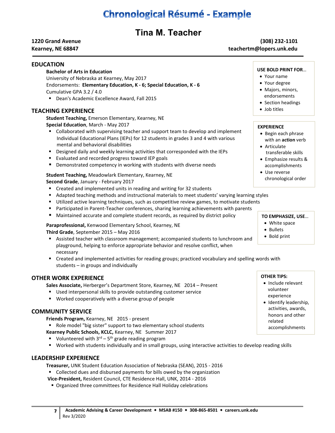# **Chronological Résumé - Example**

## **Tina M. Teacher**

#### **1220 Grand Avenue (308) 232-1101** Kearney, NE 68847 **teachertm@lopers.unk.edu**

#### **EDUCATION**

#### **Bachelor of Arts in Education**

University of Nebraska at Kearney, May 2017 Endorsements: **Elementary Education, K - 6; Special Education, K - 6** Cumulative GPA 3.2 / 4.0

Dean's Academic Excellence Award, Fall 2015

#### **TEACHING EXPERIENCE**

**Student Teaching,** Emerson Elementary, Kearney, NE **Special Education**, March - May 2017

- Collaborated with supervising teacher and support team to develop and implement Individual Educational Plans (IEPs) for 12 students in grades 3 and 4 with various mental and behavioral disabilities
- Designed daily and weekly learning activities that corresponded with the IEPs
- **E** Evaluated and recorded progress toward IEP goals
- Demonstrated competency in working with students with diverse needs

#### **Student Teaching,** Meadowlark Elementary, Kearney, NE

**Second Grade**, January - February 2017

- Created and implemented units in reading and writing for 32 students
- Adapted teaching methods and instructional materials to meet students' varying learning styles
- **Utilized active learning techniques, such as competitive review games, to motivate students**
- **Participated in Parent-Teacher conferences, sharing learning achievements with parents**
- Maintained accurate and complete student records, as required by district policy

**Paraprofessional,** Kenwood Elementary School, Kearney, NE

**Third Grade**, September 2015 – May 2016

- Assisted teacher with classroom management; accompanied students to lunchroom and playground, helping to enforce appropriate behavior and resolve conflict, when necessary
- Created and implemented activities for reading groups; practiced vocabulary and spelling words with students – in groups and individually

#### **OTHER WORK EXPERIENCE**

**Sales Associate,** Herberger's Department Store, Kearney, NE 2014 – Present

- Used interpersonal skills to provide outstanding customer service
- Worked cooperatively with a diverse group of people

#### **COMMUNITY SERVICE**

**Friends Program,** Kearney, NE 2015 - present

Role model "big sister" support to two elementary school students

- **Kearney Public Schools, KCLC,** Kearney, NE Summer 2017
- Volunteered with  $3^{rd}$   $5^{th}$  grade reading program
- Worked with students individually and in small groups, using interactive activities to develop reading skills

#### **LEADERSHIP EXPERIENCE**

**Treasurer,** UNK Student Education Association of Nebraska (SEAN), 2015 - 2016

- Collected dues and disbursed payments for bills owed by the organization
- **Vice-President,** Resident Council, CTE Residence Hall, UNK, 2014 2016
	- **Organized three committees for Residence Hall Holiday celebrations**

#### **USE BOLD PRINT FOR**…

- Your name
- Your degree
- Majors, minors, endorsements
- Section headings
- Job titles

#### **EXPERIENCE**

- Begin each phrase with an **action** verb
- Articulate transferable skills
- Emphasize results & accomplishments
- Use reverse chronological order

#### **TO EMPHASIZE, USE**…

- White space
- Bullets
- Bold print

#### **OTHER TIPS:**

- Include relevant volunteer experience
- Identify leadership, activities, awards, honors and other related accomplishments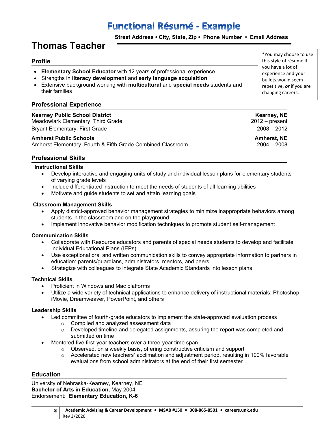# **Functional Résumé - Example**

 **Street Address • City, State, Zip • Phone Number • Email Address**

## **Thomas Teacher**

#### **Profile**

- **Elementary School Educator** with 12 years of professional experience
- Strengths in **literacy development** and **early language acquisition**
- Extensive background working with **multicultural** and **special needs** students and their families

#### **Professional Experience**

#### **Kearney Public School District Kearney, NE**

Meadowlark Elementary, Third Grade 2012 – present Bryant Elementary, First Grade 2008 – 2012

**Amherst Public Schools Amherst, NE** Amherst Elementary, Fourth & Fifth Grade Combined Classroom

this style of résumé if you have a lot of experience and your bullets would seem repetitive, *or* if you are changing careers.

\*You may choose to use

#### **Professional Skills**

#### **Instructional Skills**

- Develop interactive and engaging units of study and individual lesson plans for elementary students of varying grade levels
- Include differentiated instruction to meet the needs of students of all learning abilities
- Motivate and quide students to set and attain learning goals

#### **Classroom Management Skills**

- Apply district-approved behavior management strategies to minimize inappropriate behaviors among students in the classroom and on the playground
- Implement innovative behavior modification techniques to promote student self-management

#### **Communication Skills**

- Collaborate with Resource educators and parents of special needs students to develop and facilitate Individual Educational Plans (IEPs)
- Use exceptional oral and written communication skills to convey appropriate information to partners in education: parents/guardians, administrators, mentors, and peers
- Strategize with colleagues to integrate State Academic Standards into lesson plans

#### **Technical Skills**

- Proficient in Windows and Mac platforms
- Utilize a wide variety of technical applications to enhance delivery of instructional materials: Photoshop, iMovie, Dreamweaver, PowerPoint, and others

#### **Leadership Skills**

- Led committee of fourth-grade educators to implement the state-approved evaluation process
	- o Compiled and analyzed assessment data
	- $\circ$  Developed timeline and delegated assignments, assuring the report was completed and submitted on time
- Mentored five first-year teachers over a three-year time span
	- o Observed, on a weekly basis, offering constructive criticism and support
	- o Accelerated new teachers' acclimation and adjustment period, resulting in 100% favorable evaluations from school administrators at the end of their first semester

#### **Education**

University of Nebraska-Kearney, Kearney, NE **Bachelor of Arts in Education,** May 2004 Endorsement: **Elementary Education, K-6**